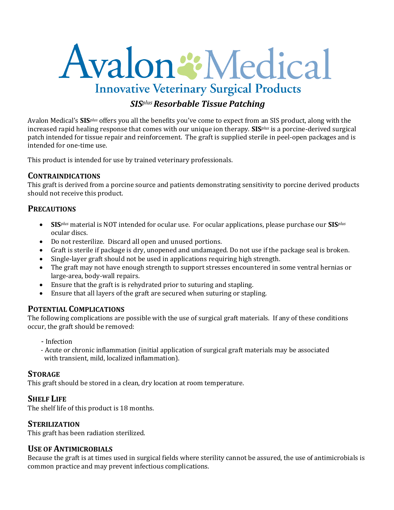# Avalon : Medical **Innovative Veterinary Surgical Products**

## *SISplus Resorbable Tissue Patching*

Avalon Medical's **SIS***plus* offers you all the benefits you've come to expect from an SIS product, along with the increased rapid healing response that comes with our unique ion therapy. **SIS***plus* is a porcine-derived surgical patch intended for tissue repair and reinforcement. The graft is supplied sterile in peel-open packages and is intended for one-time use.

This product is intended for use by trained veterinary professionals.

#### **CONTRAINDICATIONS**

This graft is derived from a porcine source and patients demonstrating sensitivity to porcine derived products should not receive this product.

#### **PRECAUTIONS**

- **SIS***plus* material is NOT intended for ocular use. For ocular applications, please purchase our **SIS***plus* ocular discs.
- Do not resterilize. Discard all open and unused portions.
- Graft is sterile if package is dry, unopened and undamaged. Do not use if the package seal is broken.
- Single-layer graft should not be used in applications requiring high strength.
- The graft may not have enough strength to support stresses encountered in some ventral hernias or large-area, body-wall repairs.
- Ensure that the graft is is rehydrated prior to suturing and stapling.
- Ensure that all layers of the graft are secured when suturing or stapling.

#### **POTENTIAL COMPLICATIONS**

The following complications are possible with the use of surgical graft materials. If any of these conditions occur, the graft should be removed:

- Infection
- Acute or chronic inflammation (initial application of surgical graft materials may be associated with transient, mild, localized inflammation).

#### **STORAGE**

This graft should be stored in a clean, dry location at room temperature.

#### **SHELF LIFE**

The shelf life of this product is 18 months.

#### **STERILIZATION**

This graft has been radiation sterilized.

#### **USE OF ANTIMICROBIALS**

Because the graft is at times used in surgical fields where sterility cannot be assured, the use of antimicrobials is common practice and may prevent infectious complications.